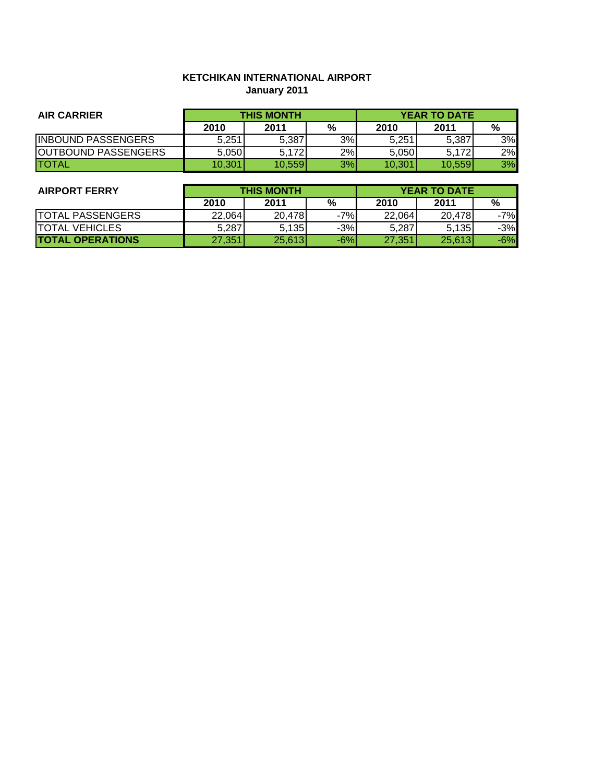# **KETCHIKAN INTERNATIONAL AIRPORT January 2011**

| <b>AIR CARRIER</b>         | <b>THIS MONTH</b> |        |    | <b>YEAR TO DATE</b> |        |    |
|----------------------------|-------------------|--------|----|---------------------|--------|----|
|                            | 2010              | 2011   | %  | 2010                | 2011   | %  |
| <b>INBOUND PASSENGERS</b>  | 5,251             | 5,387  | 3% | 5,251               | 5,387  | 3% |
| <b>OUTBOUND PASSENGERS</b> | 5,050             | 5,172  | 2% | 5.050               | 5,172  | 2% |
| <b>ITOTAL</b>              | 10.301            | 10.559 | 3% | 10,301              | 10.559 | 3% |

| <b>AIRPORT FERRY</b>    | <b>THIS MONTH</b> |        |       | <b>YEAR TO DATE</b> |        |       |
|-------------------------|-------------------|--------|-------|---------------------|--------|-------|
|                         | 2010              | 2011   | %     | 2010                | 2011   | %     |
| <b>TOTAL PASSENGERS</b> | 22,064            | 20,478 | $-7%$ | 22,064              | 20,478 | $-7%$ |
| <b>TOTAL VEHICLES</b>   | 5.287             | 5,135  | $-3%$ | 5,287               | 5.135  | $-3%$ |
| <b>TOTAL OPERATIONS</b> | 27,351            | 25,613 | $-6%$ | 27,351              | 25,613 | $-6%$ |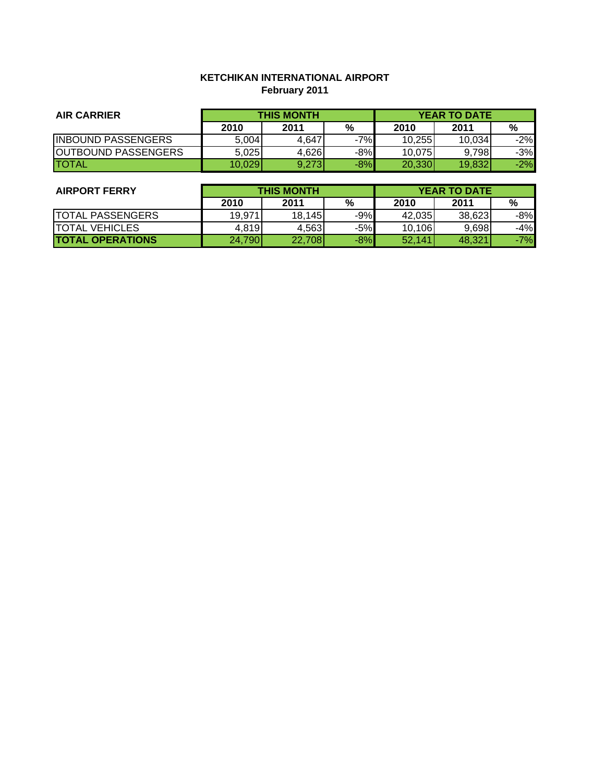# **KETCHIKAN INTERNATIONAL AIRPORT February 2011**

| <b>AIR CARRIER</b>         | <b>THIS MONTH</b> |       |       | <b>YEAR TO DATE</b> |        |       |
|----------------------------|-------------------|-------|-------|---------------------|--------|-------|
|                            | 2010              | 2011  | %     | 2010                | 2011   | %     |
| <b>INBOUND PASSENGERS</b>  | 5,004             | 4.647 | $-7%$ | 10.255              | 10.034 | $-2%$ |
| <b>OUTBOUND PASSENGERS</b> | 5,025             | 4,626 | $-8%$ | 10,075              | 9,798  | $-3%$ |
| <b>ITOTAL</b>              | 10.029            | 9,273 | $-8%$ | 20,330              | 19.832 | $-2%$ |

| <b>AIRPORT FERRY</b>    | <b>THIS MONTH</b> |        |       | <b>YEAR TO DATE</b> |        |       |
|-------------------------|-------------------|--------|-------|---------------------|--------|-------|
|                         | 2010              | 2011   | %     | 2010                | 2011   | %     |
| TOTAL PASSENGERS        | 19.971            | 18,145 | $-9%$ | 42.035              | 38,623 | -8%   |
| <b>TOTAL VEHICLES</b>   | 4,819             | 4.563  | $-5%$ | 10,106              | 9,698  | -4%   |
| <b>TOTAL OPERATIONS</b> | 24,790            | 22,708 | $-8%$ | 52,141              | 48,321 | $-7%$ |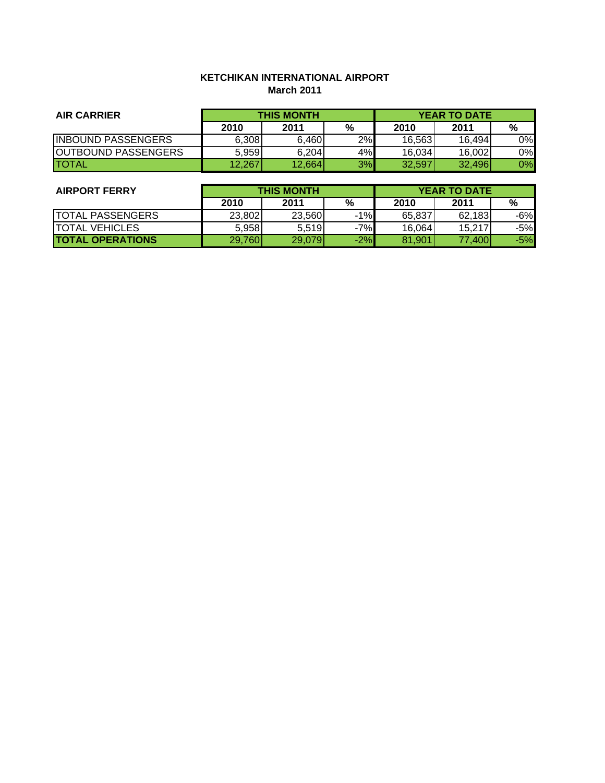# **KETCHIKAN INTERNATIONAL AIRPORT March 2011**

| <b>AIR CARRIER</b>         | <b>THIS MONTH</b> |        |    | <b>YEAR TO DATE</b> |        |    |
|----------------------------|-------------------|--------|----|---------------------|--------|----|
|                            | 2010              | 2011   | %  | 2010                | 2011   | %  |
| <b>INBOUND PASSENGERS</b>  | 6,308             | 6,460  | 2% | 16,563              | 16,494 | 0% |
| <b>OUTBOUND PASSENGERS</b> | 5.959             | 6,204  | 4% | 16,034              | 16,002 | 0% |
| <b>ITOTAL</b>              | 12,267            | 12,664 | 3% | 32.597              | 32,496 | 0% |

| <b>AIRPORT FERRY</b>    | <b>THIS MONTH</b> |        |       | <b>YEAR TO DATE</b> |        |       |
|-------------------------|-------------------|--------|-------|---------------------|--------|-------|
|                         | 2010              | 2011   | %     | 2010                | 2011   | %     |
| <b>TOTAL PASSENGERS</b> | 23,802            | 23,560 | $-1%$ | 65,837              | 62,183 | -6%   |
| <b>TOTAL VEHICLES</b>   | 5,958             | 5,519  | $-7%$ | 16,064              | 15,217 | $-5%$ |
| <b>TOTAL OPERATIONS</b> | 29,760            | 29,079 | $-2%$ | 81,901              | 77,400 | $-5%$ |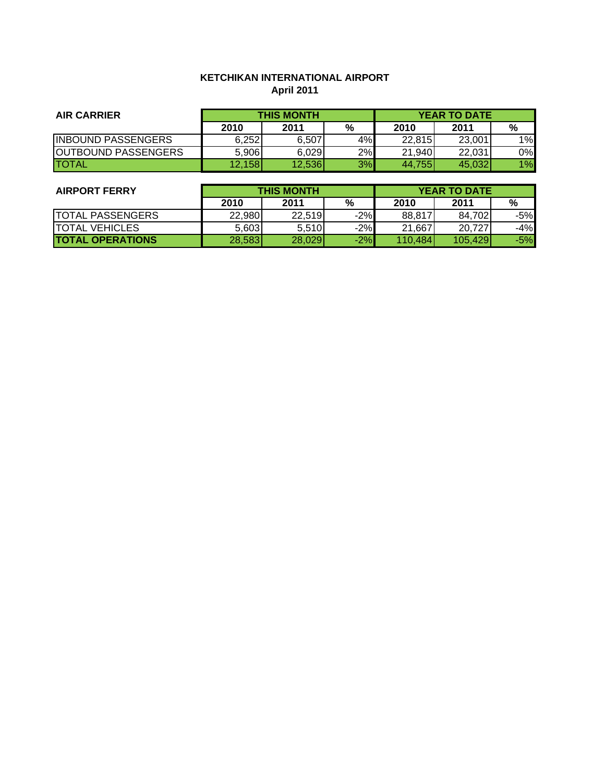# **KETCHIKAN INTERNATIONAL AIRPORT April 2011**

| <b>AIR CARRIER</b>          | <b>THIS MONTH</b> |        |    | <b>YEAR TO DATE</b> |        |    |
|-----------------------------|-------------------|--------|----|---------------------|--------|----|
|                             | 2010              | 2011   | %  | 2010                | 2011   | %  |
| <b>INBOUND PASSENGERS</b>   | 6,252             | 6.507  | 4% | 22,815              | 23,001 | 1% |
| <b>JOUTBOUND PASSENGERS</b> | 5,906             | 6,029  | 2% | 21,940              | 22,031 | 0% |
| <b>ITOTAL</b>               | 12,158            | 12,536 | 3% | 44,755              | 45.032 | 1% |

| <b>AIRPORT FERRY</b>    | <b>THIS MONTH</b> |        |       | <b>YEAR TO DATE</b> |         |       |
|-------------------------|-------------------|--------|-------|---------------------|---------|-------|
|                         | 2010              | 2011   | %     | 2010                | 2011    | %     |
| <b>TOTAL PASSENGERS</b> | 22,980            | 22,519 | $-2%$ | 88,817              | 84,702  | $-5%$ |
| <b>TOTAL VEHICLES</b>   | 5,603             | 5,510  | $-2%$ | 21,667              | 20,727  | $-4%$ |
| <b>TOTAL OPERATIONS</b> | 28,583            | 28,029 | $-2%$ | 110,484             | 105,429 | $-5%$ |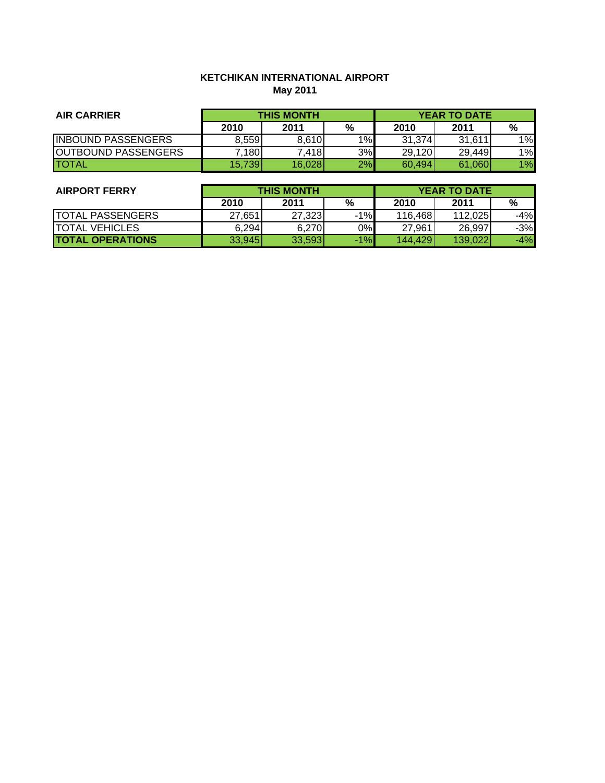# **KETCHIKAN INTERNATIONAL AIRPORT May 2011**

| <b>AIR CARRIER</b>          | <b>THIS MONTH</b> |        |    | <b>YEAR TO DATE</b> |        |    |
|-----------------------------|-------------------|--------|----|---------------------|--------|----|
|                             | 2010              | 2011   | %  | 2010                | 2011   | %  |
| <b>INBOUND PASSENGERS</b>   | 8.559             | 8,610  | 1% | 31,374              | 31,611 | 1% |
| <b>JOUTBOUND PASSENGERS</b> | 7180              | 7,418  | 3% | 29,120              | 29,449 | 1% |
| <b>ITOTAL</b>               | 15,739            | 16,028 | 2% | 60,494              | 61,060 | 1% |

| <b>AIRPORT FERRY</b>    | <b>THIS MONTH</b> |        |       | <b>YEAR TO DATE</b> |         |       |
|-------------------------|-------------------|--------|-------|---------------------|---------|-------|
|                         | 2010              | 2011   | %     | 2010                | 2011    | %     |
| <b>TOTAL PASSENGERS</b> | 27,651            | 27,323 | $-1%$ | 116,468             | 112,025 | -4%   |
| <b>ITOTAL VEHICLES</b>  | 6,294             | 6,270  | 0%    | 27,961              | 26,997  | $-3%$ |
| <b>TOTAL OPERATIONS</b> | 33,945            | 33,593 | $-1%$ | 144,429             | 139.022 | -4%   |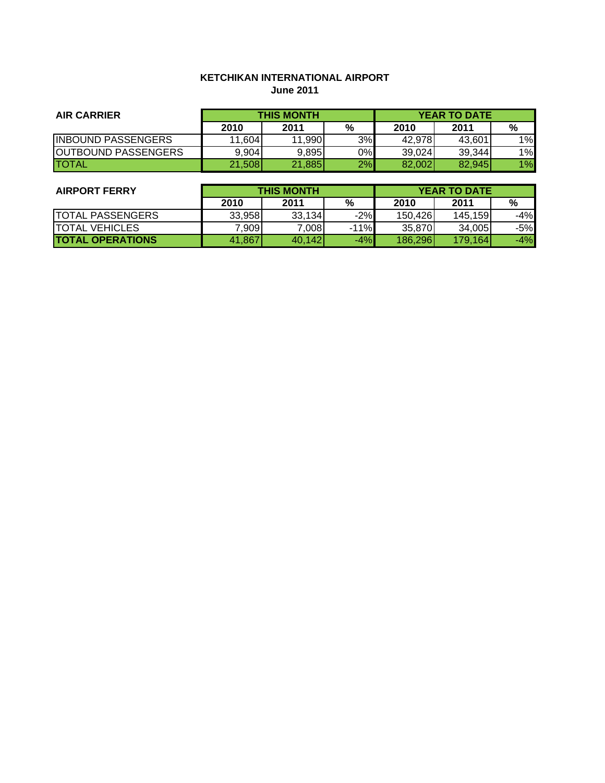# **KETCHIKAN INTERNATIONAL AIRPORT June 2011**

| <b>AIR CARRIER</b>          | <b>THIS MONTH</b> |        |    | <b>YEAR TO DATE</b> |        |    |
|-----------------------------|-------------------|--------|----|---------------------|--------|----|
|                             | 2010              | 2011   | %  | 2010                | 2011   | %  |
| <b>INBOUND PASSENGERS</b>   | 11,604            | 11,990 | 3% | 42,978              | 43.601 | 1% |
| <b>JOUTBOUND PASSENGERS</b> | 9,904             | 9,895  | 0% | 39,024              | 39,344 | 1% |
| <b>ITOTAL</b>               | 21,508            | 21,885 | 2% | 82,002              | 82,945 | 1% |

| <b>AIRPORT FERRY</b>    | <b>THIS MONTH</b> |        |        | <b>YEAR TO DATE</b> |         |       |
|-------------------------|-------------------|--------|--------|---------------------|---------|-------|
|                         | 2010              | 2011   | %      | 2010                | 2011    | %     |
| <b>TOTAL PASSENGERS</b> | 33.958            | 33,134 | $-2%$  | 150,426             | 145,159 | -4%   |
| <b>TOTAL VEHICLES</b>   | 7,909             | 7,008  | $-11%$ | 35,870              | 34,005  | $-5%$ |
| <b>TOTAL OPERATIONS</b> | 41,867            | 40.142 | $-4%$  | 186,296             | 179,164 | $-4%$ |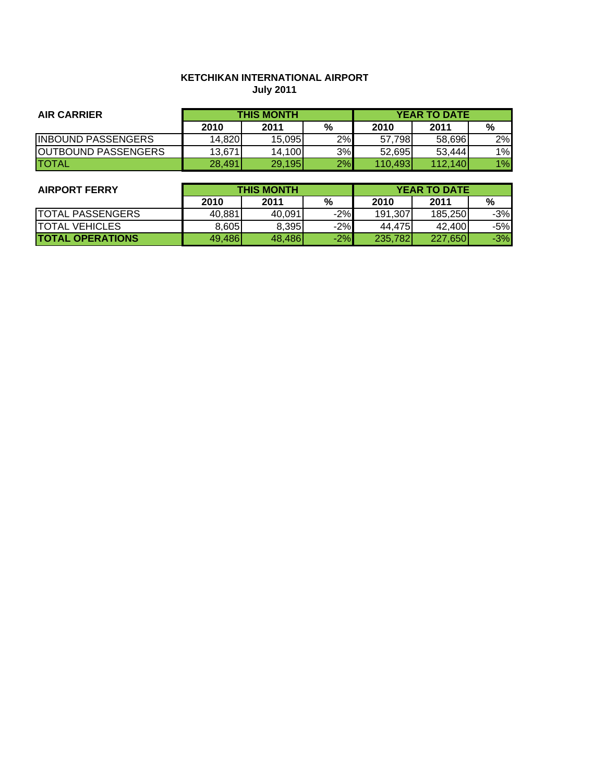## **KETCHIKAN INTERNATIONAL AIRPORT July 2011**

| <b>AIR CARRIER</b>         | <b>THIS MONTH</b> |        |    | <b>YEAR TO DATE</b> |         |    |
|----------------------------|-------------------|--------|----|---------------------|---------|----|
|                            | 2010              | 2011   | %  | 2010                | 2011    | %  |
| <b>IINBOUND PASSENGERS</b> | 14,8201           | 15.095 | 2% | 57.798              | 58.696  | 2% |
| <b>OUTBOUND PASSENGERS</b> | 13,671            | 14,100 | 3% | 52.695              | 53.444  | 1% |
| <b>ITOTAL</b>              | 28.491            | 29,195 | 2% | 110.493             | 112.140 | 1% |

| <b>AIRPORT FERRY</b>    | <b>THIS MONTH</b> |        |       | <b>YEAR TO DATE</b> |         |       |
|-------------------------|-------------------|--------|-------|---------------------|---------|-------|
|                         | 2010              | 2011   | %     | 2010                | 2011    | %     |
| <b>TOTAL PASSENGERS</b> | 40.881            | 40.091 | $-2%$ | 191.307             | 185.250 | $-3%$ |
| <b>ITOTAL VEHICLES</b>  | 8.605             | 8,395  | $-2%$ | 44.475              | 42.400  | -5%l  |
| <b>TOTAL OPERATIONS</b> | 49,486            | 48.486 | $-2%$ | 235,782             | 227,650 | $-3%$ |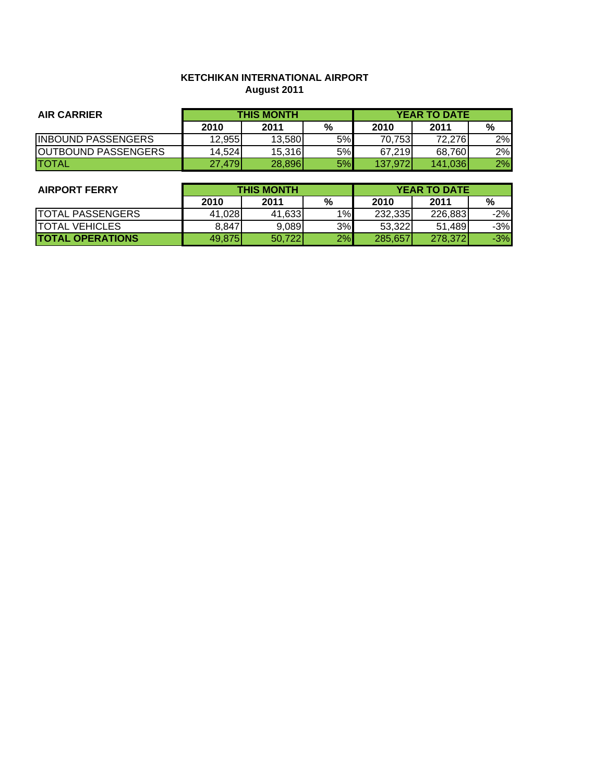## **KETCHIKAN INTERNATIONAL AIRPORT August 2011**

| <b>AIR CARRIER</b>         | <b>THIS MONTH</b> |        |    | <b>YEAR TO DATE</b> |         |    |
|----------------------------|-------------------|--------|----|---------------------|---------|----|
|                            | 2010              | 2011   | %  | 2010                | 2011    | %  |
| <b>IINBOUND PASSENGERS</b> | 12.9551           | 13.580 | 5% | 70.753              | 72.276  | 2% |
| <b>OUTBOUND PASSENGERS</b> | 14.524            | 15,316 | 5% | 67.219              | 68,760  | 2% |
| <b>ITOTAL</b>              | 27.479            | 28,896 | 5% | 137.972             | 141.036 | 2% |

| <b>AIRPORT FERRY</b>    | <b>THIS MONTH</b> |        |    | <b>YEAR TO DATE</b> |         |       |
|-------------------------|-------------------|--------|----|---------------------|---------|-------|
|                         | 2010              | 2011   | %  | 2010                | 2011    | %     |
| <b>TOTAL PASSENGERS</b> | 41.028            | 41.633 | 1% | 232,335             | 226.883 | $-2%$ |
| <b>ITOTAL VEHICLES</b>  | 8.847             | 9,089  | 3% | 53.322              | 51,489  | $-3%$ |
| <b>TOTAL OPERATIONS</b> | 49.875            | 50,722 | 2% | 285.657             | 278,372 | $-3%$ |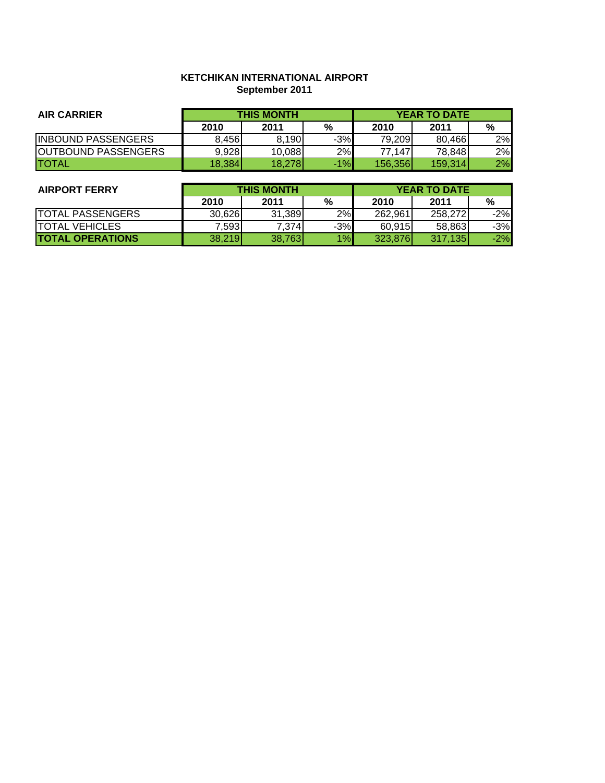### **KETCHIKAN INTERNATIONAL AIRPORT September 2011**

| <b>AIR CARRIER</b>         | <b>THIS MONTH</b> |        |       | <b>YEAR TO DATE</b> |         |    |
|----------------------------|-------------------|--------|-------|---------------------|---------|----|
|                            | 2010              | 2011   | %     | 2010                | 2011    | %  |
| <b>IINBOUND PASSENGERS</b> | 8.456             | 8.190  | $-3%$ | 79.209              | 80.466  | 2% |
| <b>OUTBOUND PASSENGERS</b> | 9.928             | 10.088 | 2%    | 77.147              | 78.848  | 2% |
| <b>ITOTAL</b>              | 18,384            | 18,278 | $-1%$ | 156,356             | 159.314 | 2% |

| <b>AIRPORT FERRY</b>    | <b>THIS MONTH</b> |        |       | <b>YEAR TO DATE</b> |         |       |
|-------------------------|-------------------|--------|-------|---------------------|---------|-------|
|                         | 2010              | 2011   | %     | 2010                | 2011    | %     |
| <b>TOTAL PASSENGERS</b> | 30.6261           | 31,389 | 2%    | 262.961             | 258.272 | $-2%$ |
| <b>ITOTAL VEHICLES</b>  | 7.5931            | 7,374  | $-3%$ | 60.915              | 58.863  | $-3%$ |
| <b>TOTAL OPERATIONS</b> | 38,219            | 38,763 | 1%    | 323.876             | 317.135 | $-2%$ |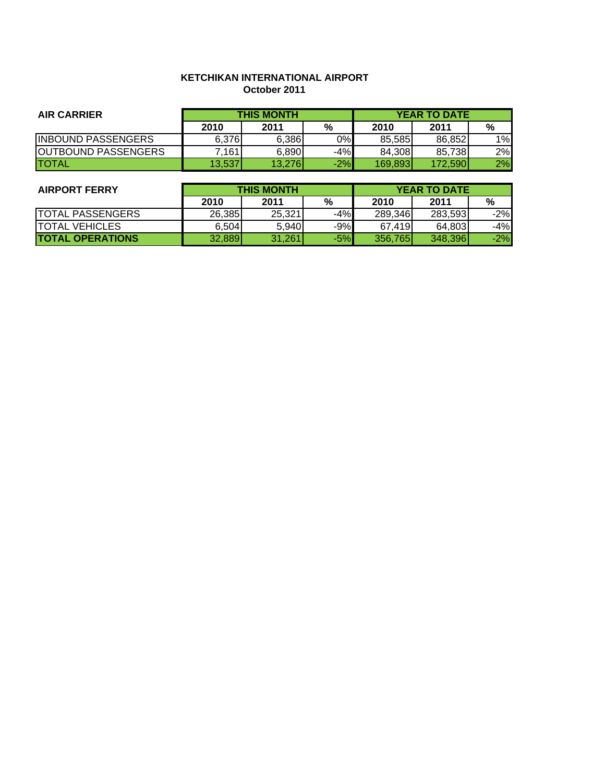### **KETCHIKAN INTERNATIONAL AIRPORT October 2011**

| <b>AIR CARRIER</b>         | <b>THIS MONTH</b> |        |       | <b>YEAR TO DATE</b> |         |    |
|----------------------------|-------------------|--------|-------|---------------------|---------|----|
|                            | 2010              | 2011   | %     | 2010                | 2011    | %  |
| <b>INBOUND PASSENGERS</b>  | 6.3761            | 6.386  | 0%    | 85.585              | 86.852  | 1% |
| <b>OUTBOUND PASSENGERS</b> | 161.'             | 6,890  | $-4%$ | 84.308              | 85.738  | 2% |
| <b>ITOTAL</b>              | 13.537            | 13,276 | $-2%$ | 169.893             | 172.590 | 2% |

| <b>AIRPORT FERRY</b>    | <b>THIS MONTH</b> |         |       | <b>YEAR TO DATE</b> |         |       |
|-------------------------|-------------------|---------|-------|---------------------|---------|-------|
|                         | 2010              | 2011    | $\%$  | 2010                | 2011    | %     |
| <b>TOTAL PASSENGERS</b> | 26.385            | 25.3211 | $-4%$ | 289.346             | 283,593 | $-2%$ |
| <b>TOTAL VEHICLES</b>   | 6.504             | 5,940   | $-9%$ | 67.419              | 64.803  | -4%   |
| <b>TOTAL OPERATIONS</b> | 32.889            | 31,261  | $-5%$ | 356.765             | 348.396 | $-2%$ |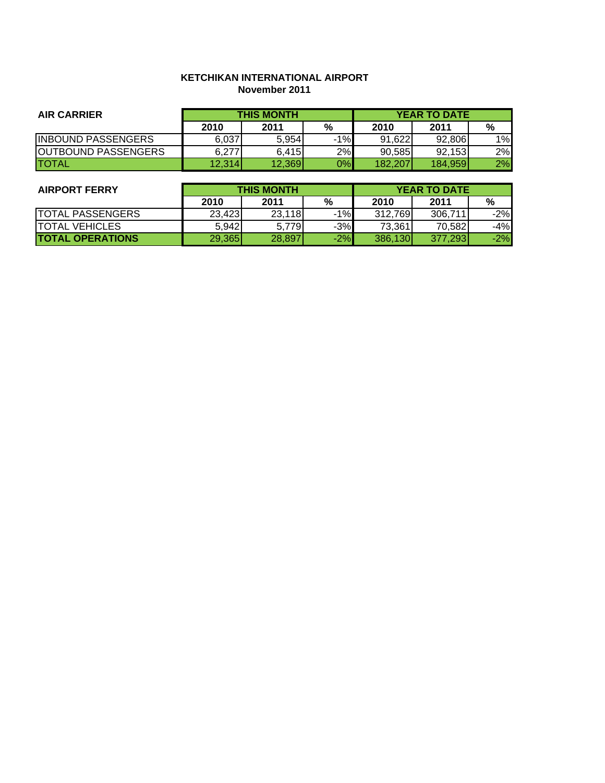### **KETCHIKAN INTERNATIONAL AIRPORT November 2011**

| <b>AIR CARRIER</b>         | <b>THIS MONTH</b> |        |       |         | <b>YEAR TO DATE</b> |    |
|----------------------------|-------------------|--------|-------|---------|---------------------|----|
|                            | 2010              | 2011   | %     | 2010    | 2011                | %  |
| <b>IINBOUND PASSENGERS</b> | 6.037             | 5.954  | $-1%$ | 91.622  | 92.806              | 1% |
| <b>OUTBOUND PASSENGERS</b> | 6.277             | 6.415  | 2%    | 90.585  | 92.153              | 2% |
| <b>ITOTAL</b>              | 12,314            | 12,369 | 0%    | 182.207 | 184,959             | 2% |

| <b>AIRPORT FERRY</b>    | <b>THIS MONTH</b> |        |       | <b>YEAR TO DATE</b> |         |       |
|-------------------------|-------------------|--------|-------|---------------------|---------|-------|
|                         | 2010              | 2011   | %     | 2010                | 2011    | %     |
| <b>TOTAL PASSENGERS</b> | 23.423            | 23,118 | $-1%$ | 312,769             | 306.711 | $-2%$ |
| <b>ITOTAL VEHICLES</b>  | 5.942             | 5.779  | $-3%$ | 73,361              | 70.582  | -4%   |
| <b>TOTAL OPERATIONS</b> | 29,365            | 28,897 | $-2%$ | 386,130             | 377,293 | $-2%$ |